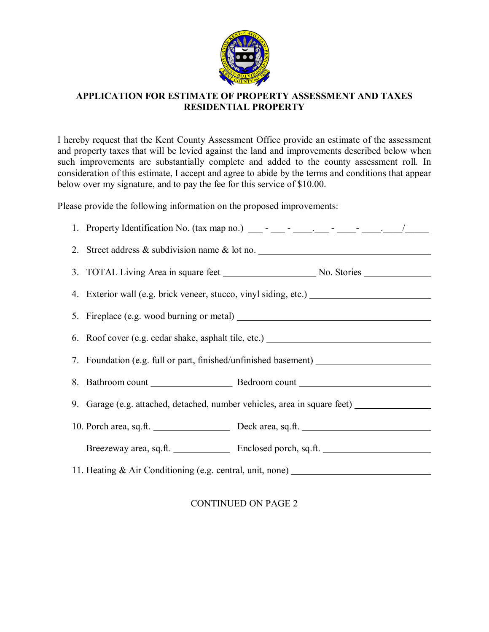

## **APPLICATION FOR ESTIMATE OF PROPERTY ASSESSMENT AND TAXES RESIDENTIAL PROPERTY**

I hereby request that the Kent County Assessment Office provide an estimate of the assessment and property taxes that will be levied against the land and improvements described below when such improvements are substantially complete and added to the county assessment roll. In consideration of this estimate, I accept and agree to abide by the terms and conditions that appear below over my signature, and to pay the fee for this service of \$10.00.

Please provide the following information on the proposed improvements:

| 2. Street address & subdivision name & lot no. _________________________________                    |  |  |  |
|-----------------------------------------------------------------------------------------------------|--|--|--|
|                                                                                                     |  |  |  |
|                                                                                                     |  |  |  |
| 5. Fireplace (e.g. wood burning or metal)                                                           |  |  |  |
|                                                                                                     |  |  |  |
| 7. Foundation (e.g. full or part, finished/unfinished basement) _________________                   |  |  |  |
|                                                                                                     |  |  |  |
| 9. Garage (e.g. attached, detached, number vehicles, area in square feet) _________________________ |  |  |  |
|                                                                                                     |  |  |  |
|                                                                                                     |  |  |  |
| 11. Heating & Air Conditioning (e.g. central, unit, none) ______________________                    |  |  |  |

CONTINUED ON PAGE 2